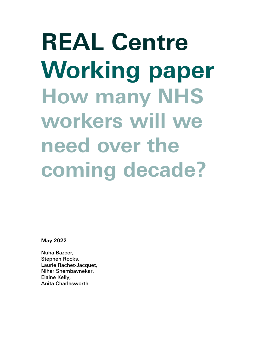**REAL Centre Working paper How many NHS workers will we need over the coming decade?**

**May 2022**

Nuha Bazeer, Stephen Rocks, Laurie Rachet-Jacquet, Nihar Shembavnekar, Elaine Kelly, Anita Charlesworth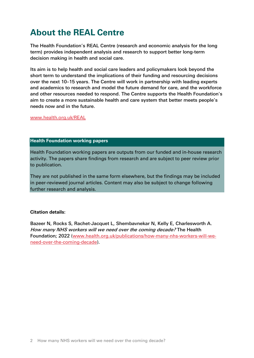## **About the REAL Centre**

The Health Foundation's REAL Centre (research and economic analysis for the long term) provides independent analysis and research to support better long-term decision making in health and social care.

Its aim is to help health and social care leaders and policymakers look beyond the short term to understand the implications of their funding and resourcing decisions over the next 10–15 years. The Centre will work in partnership with leading experts and academics to research and model the future demand for care, and the workforce and other resources needed to respond. The Centre supports the Health Foundation's aim to create a more sustainable health and care system that better meets people's needs now and in the future.

[www.health.org.uk/REAL](http://www.health.org.uk/REAL)

#### **Health Foundation working papers**

Health Foundation working papers are outputs from our funded and in-house research activity. The papers share findings from research and are subject to peer review prior to publication.

They are not published in the same form elsewhere, but the findings may be included in peer-reviewed journal articles. Content may also be subject to change following further research and analysis.

#### **Citation details:**

Bazeer N, Rocks S, Rachet-Jacquet L, Shembavnekar N, Kelly E, Charlesworth A. How many NHS workers will we need over the coming decade? The Health Foundation; 2022 [\(www.health.org.uk/publications/how-many-nhs-workers-will-we](http://www.health.org.uk/publications/how-many-nhs-workers-will-we-need-over-the-coming-decade)[need-over-the-coming-decade\)](http://www.health.org.uk/publications/how-many-nhs-workers-will-we-need-over-the-coming-decade).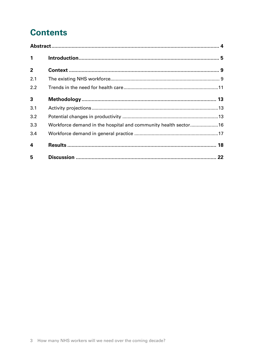# **Contents**

| $\mathbf{1}$   |                                                                |  |
|----------------|----------------------------------------------------------------|--|
| $\overline{2}$ |                                                                |  |
| 2.1            |                                                                |  |
| 2.2            |                                                                |  |
| $\mathbf{3}$   |                                                                |  |
| 3.1            |                                                                |  |
| 3.2            |                                                                |  |
| 3.3            | Workforce demand in the hospital and community health sector16 |  |
| 3.4            |                                                                |  |
| 4              |                                                                |  |
| 5              |                                                                |  |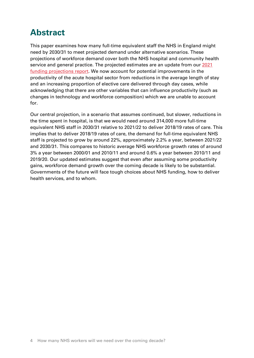## <span id="page-3-0"></span>**Abstract**

This paper examines how many full-time equivalent staff the NHS in England might need by 2030/31 to meet projected demand under alternative scenarios. These projections of workforce demand cover both the NHS hospital and community health service and general practice. The projected estimates are an update from our 2021 [funding projections report.](https://www.health.org.uk/publications/health-and-social-care-funding-projections-2021) We now account for potential improvements in the productivity of the acute hospital sector from reductions in the average length of stay and an increasing proportion of elective care delivered through day cases, while acknowledging that there are other variables that can influence productivity (such as changes in technology and workforce composition) which we are unable to account for.

Our central projection, in a scenario that assumes continued, but slower, reductions in the time spent in hospital, is that we would need around 314,000 more full-time equivalent NHS staff in 2030/31 relative to 2021/22 to deliver 2018/19 rates of care. This implies that to deliver 2018/19 rates of care, the demand for full-time equivalent NHS staff is projected to grow by around 22%, approximately 2.2% a year, between 2021/22 and 2030/31. This compares to historic average NHS workforce growth rates of around 3% a year between 2000/01 and 2010/11 and around 0.6% a year between 2010/11 and 2019/20. Our updated estimates suggest that even after assuming some productivity gains, workforce demand growth over the coming decade is likely to be substantial. Governments of the future will face tough choices about NHS funding, how to deliver health services, and to whom.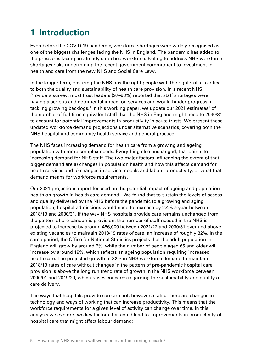# <span id="page-4-0"></span>**1 Introduction**

Even before the COVID-19 pandemic, workforce shortages were widely recognised as one of the biggest challenges facing the NHS in England. The pandemic has added to the pressures facing an already stretched workforce. Failing to address NHS workforce shortages risks undermining the recent government commitment to investment in health and care from the new NHS and Social Care Levy.

In the longer term, ensuring the NHS has the right people with the right skills is critical to both the quality and sustainability of health care provision. In a recent NHS Providers survey, most trust leaders (97–98%) reported that staff shortages were having a serious and detrimental impact on services and would hinder progress in tackling growing backlogs.<sup>[1](#page-22-0)</sup> In this working paper, we update our [2](#page-22-1)021 estimates<sup>2</sup> of the number of full-time equivalent staff that the NHS in England might need to 2030/31 to account for potential improvements in productivity in acute trusts. We present these updated workforce demand projections under alternative scenarios, covering both the NHS hospital and community health service and general practice.

The NHS faces increasing demand for health care from a growing and ageing population with more complex needs. Everything else unchanged, that points to increasing demand for NHS staff. The two major factors influencing the extent of that bigger demand are a) changes in population health and how this affects demand for health services and b) changes in service models and labour productivity, or what that demand means for workforce requirements.

Our 2021 projections report focused on the potential impact of ageing and population health on growth in health care demand. [3](#page-22-2) We found that to sustain the levels of access and quality delivered by the NHS before the pandemic to a growing and aging population, hospital admissions would need to increase by 2.4% a year between 2018/19 and 2030/31. If the way NHS hospitals provide care remains unchanged from the pattern of pre-pandemic provision, the number of staff needed in the NHS is projected to increase by around 466,000 between 2021/22 and 2030/31 over and above existing vacancies to maintain 2018/19 rates of care, an increase of roughly 32%. In the same period, the Office for National Statistics projects that the adult population in England will grow by around 6%, while the number of people aged 65 and older will increase by around 19%, which reflects an ageing population requiring increased health care. The projected growth of 32% in NHS workforce demand to maintain 2018/19 rates of care without changes in the pattern of pre-pandemic hospital care provision is above the long run trend rate of growth in the NHS workforce between 2000/01 and 2019/20, which raises concerns regarding the sustainability and quality of care delivery.

The ways that hospitals provide care are not, however, static. There are changes in technology and ways of working that can increase productivity. This means that the workforce requirements for a given level of activity can change over time. In this analysis we explore two key factors that could lead to improvements in productivity of hospital care that might affect labour demand: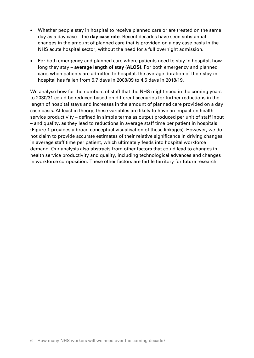- Whether people stay in hospital to receive planned care or are treated on the same day as a day case – the **day case rate**. Recent decades have seen substantial changes in the amount of planned care that is provided on a day case basis in the NHS acute hospital sector, without the need for a full overnight admission.
- For both emergency and planned care where patients need to stay in hospital, how long they stay – **average length of stay (ALOS).** For both emergency and planned care, when patients are admitted to hospital, the average duration of their stay in hospital has fallen from 5.7 days in 2008/09 to 4.5 days in 2018/19.

We analyse how far the numbers of staff that the NHS might need in the coming years to 2030/31 could be reduced based on different scenarios for further reductions in the length of hospital stays and increases in the amount of planned care provided on a day case basis. At least in theory, these variables are likely to have an impact on health service productivity – defined in simple terms as output produced per unit of staff input – and quality, as they lead to reductions in average staff time per patient in hospitals (Figure 1 provides a broad conceptual visualisation of these linkages). However, we do not claim to provide accurate estimates of their relative significance in driving changes in average staff time per patient, which ultimately feeds into hospital workforce demand. Our analysis also abstracts from other factors that could lead to changes in health service productivity and quality, including technological advances and changes in workforce composition. These other factors are fertile territory for future research.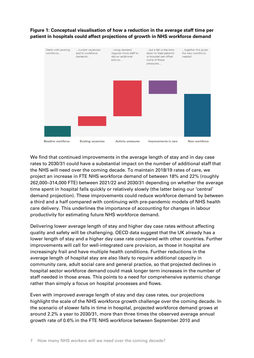### **Figure 1: Conceptual visualisation of how a reduction in the average staff time per patient in hospitals could affect projections of growth in NHS workforce demand**



We find that continued improvements in the average length of stay and in day case rates to 2030/31 could have a substantial impact on the number of additional staff that the NHS will need over the coming decade. To maintain 2018/19 rates of care, we project an increase in FTE NHS workforce demand of between 18% and 22% (roughly 262,000–314,000 FTE) between 2021/22 and 2030/31 depending on whether the average time spent in hospital falls quickly or relatively slowly (the latter being our 'central' demand projection). These improvements could reduce workforce demand by between a third and a half compared with continuing with pre-pandemic models of NHS health care delivery. This underlines the importance of accounting for changes in labour productivity for estimating future NHS workforce demand.

Delivering lower average length of stay and higher day case rates without affecting quality and safety will be challenging. OECD data suggest that the UK already has a lower length of stay and a higher day case rate compared with other countries. Further improvements will call for well-integrated care provision, as those in hospital are increasingly frail and have multiple health conditions. Further reductions in the average length of hospital stay are also likely to require additional capacity in community care, adult social care and general practice, so that projected declines in hospital sector workforce demand could mask longer term increases in the number of staff needed in those areas. This points to a need for comprehensive systemic change rather than simply a focus on hospital processes and flows.

Even with improved average length of stay and day case rates, our projections highlight the scale of the NHS workforce growth challenge over the coming decade. In the scenario of slower falls in time in hospital, projected workforce demand grows at around 2.2% a year to 2030/31, more than three times the observed average annual growth rate of 0.6% in the FTE NHS workforce between September 2010 and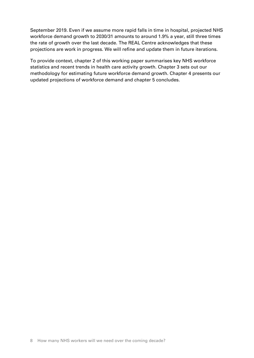September 2019. Even if we assume more rapid falls in time in hospital, projected NHS workforce demand growth to 2030/31 amounts to around 1.9% a year, still three times the rate of growth over the last decade. The REAL Centre acknowledges that these projections are work in progress. We will refine and update them in future iterations.

To provide context, chapter 2 of this working paper summarises key NHS workforce statistics and recent trends in health care activity growth. Chapter 3 sets out our methodology for estimating future workforce demand growth. Chapter 4 presents our updated projections of workforce demand and chapter 5 concludes.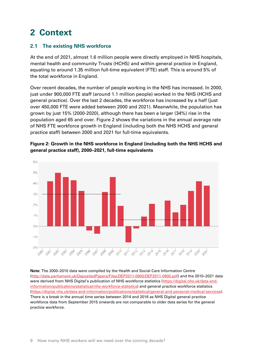## <span id="page-8-0"></span>**2 Context**

### <span id="page-8-1"></span>**2.1 The existing NHS workforce**

At the end of 2021, almost 1.6 million people were directly employed in NHS hospitals, mental health and community Trusts (HCHS) and within general practice in England, equating to around 1.35 million full-time equivalent (FTE) staff. This is around 5% of the total workforce in England.

Over recent decades, the number of people working in the NHS has increased. In 2000, just under 900,000 FTE staff (around 1.1 million people) worked in the NHS (HCHS and general practice). Over the last 2 decades, the workforce has increased by a half (just over 450,000 FTE were added between 2000 and 2021). Meanwhile, the population has grown by just 15% (2000-2020), although there has been a larger (34%) rise in the population aged 65 and over. Figure 2 shows the variations in the annual average rate of NHS FTE workforce growth in England (including both the NHS HCHS and general practice staff) between 2000 and 2021 for full-time equivalents.



**Figure 2: Growth in the NHS workforce in England (including both the NHS HCHS and general practice staff), 2000–2021, full-time equivalents**

**Note:** The 2000–2010 data were compiled by the Health and Social Care Information Centre [\(http://data.parliament.uk/DepositedPapers/Files/DEP2011-0900/DEP2011-0900.pdf\)](http://data.parliament.uk/DepositedPapers/Files/DEP2011-0900/DEP2011-0900.pdf) and the 2010–2021 data were derived from NHS Digital's publication of NHS workforce statistics [\(https://digital.nhs.uk/data-and](https://digital.nhs.uk/data-and-information/publications/statistical/nhs-workforce-statistics)[information/publications/statistical/nhs-workforce-statistics\)](https://digital.nhs.uk/data-and-information/publications/statistical/nhs-workforce-statistics) and general practice workforce statistics [\(https://digital.nhs.uk/data-and-information/publications/statistical/general-and-personal-medical-services\)](https://digital.nhs.uk/data-and-information/publications/statistical/general-and-personal-medical-services). There is a break in the annual time series between 2014 and 2016 as NHS Digital general practice workforce data from September 2015 onwards are not comparable to older data series for the general practice workforce.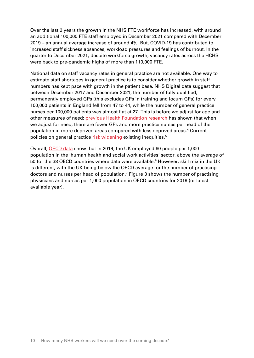Over the last 2 years the growth in the NHS FTE workforce has increased, with around an additional 100,000 FTE staff employed in December 2021 compared with December 2019 – an annual average increase of around 4%. But, COVID-19 has contributed to increased staff sickness absences, workload pressures and feelings of burnout. In the quarter to December 2021, despite workforce growth, vacancy rates across the HCHS were back to pre-pandemic highs of more than 110,000 FTE.

National data on staff vacancy rates in general practice are not available. One way to estimate staff shortages in general practice is to consider whether growth in staff numbers has kept pace with growth in the patient base. NHS Digital data suggest that between December 2017 and December 2021, the number of fully qualified, permanently employed GPs (this excludes GPs in training and locum GPs) for every 100,000 patients in England fell from 47 to 44, while the number of general practice nurses per 100,000 patients was almost flat at 27. This is before we adjust for age and other measures of need: [previous Health Foundation research](https://www.health.org.uk/publications/reports/level-or-not) has shown that when we adjust for need, there are fewer GPs and more practice nurses per head of the population in more deprived areas compared with less deprived areas.[4](#page-22-3) Current policies on general practice [risk widening](https://www.health.org.uk/publications/reports/tackling-the-inverse-care-law) existing inequities.<sup>[5](#page-22-4)</sup>

Overall, [OECD data](https://stats.oecd.org/) show that in 2019, the UK employed 60 people per 1,000 population in the 'human health and social work activities' sector, above the average of 50 for the 38 OECD countries where data were available.<sup>[6](#page-22-5)</sup> However, skill mix in the UK is different, with the UK being below the OECD average for the number of practising doctors and nurses per head of population.<sup>[7](#page-22-6)</sup> Figure 3 shows the number of practising physicians and nurses per 1,000 population in OECD countries for 2019 (or latest available year).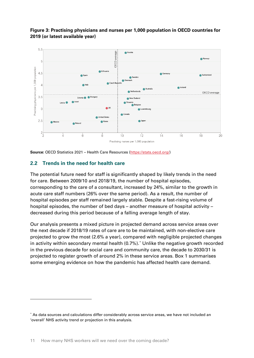

### **Figure 3: Practising physicians and nurses per 1,000 population in OECD countries for 2019 (or latest available year)**

**Source:** OECD Statistics 2021 – Health Care Resources [\(https://stats.oecd.org/\)](https://stats.oecd.org/)

#### <span id="page-10-0"></span>**2.2 Trends in the need for health care**

The potential future need for staff is significantly shaped by likely trends in the need for care. Between 2009/10 and 2018/19, the number of hospital episodes, corresponding to the care of a consultant, increased by 24%, similar to the growth in acute care staff numbers (26% over the same period). As a result, the number of hospital episodes per staff remained largely stable. Despite a fast-rising volume of hospital episodes, the number of bed days – another measure of hospital activity – decreased during this period because of a falling average length of stay.

Our analysis presents a mixed picture in projected demand across service areas over the next decade if 2018/19 rates of care are to be maintained, with non-elective care projected to grow the most (2.6% a year), compared with negligible projected changes in activity within secondary mental health (0.7%).[\\*](#page-10-1) Unlike the negative growth recorded in the previous decade for social care and community care, the decade to 2030/31 is projected to register growth of around 2% in these service areas. Box 1 summarises some emerging evidence on how the pandemic has affected health care demand.

<span id="page-10-1"></span><sup>\*</sup> As data sources and calculations differ considerably across service areas, we have not included an 'overall' NHS activity trend or projection in this analysis.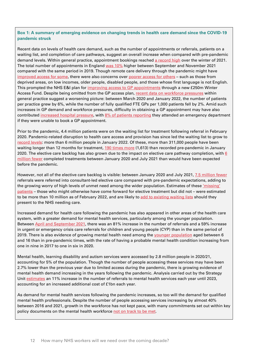#### **Box 1: A summary of emerging evidence on changing trends in health care demand since the COVID-19 pandemic struck**

Recent data on levels of health care demand, such as the number of appointments or referrals, patients on a waiting list, and completion of care pathways, suggest an overall increase when compared with pre-pandemic demand levels. Within general practice, appointment bookings reached [a record high](https://www.bma.org.uk/advice-and-support/nhs-delivery-and-workforce/pressures/pressures-in-general-practice-data-analysis) over the winter of 2021. The total number of appointments in England [was 10%](https://www.gponline.com/gp-appointments-data-reveal-exponential-rise-demand-pandemic/article/1737508) higher between September and November 2021 compared with the same period in 2019. Though remote care delivery through the pandemic might have [improved access for some,](http://www.healthwatch.co.uk/blog/2020-07-27/doctor-will-zoom-you-now) there were also concerns over [poorer access for others](https://www.nuffieldtrust.org.uk/news-item/digital-and-remote-primary-care-the-inverse-care-law-with-a-21st-century-twist) – such as those from deprived areas, on low incomes, older people, disabled people, and those whose first language is not English. This prompted the NHS E&I plan for [improving access to GP appointments](https://www.england.nhs.uk/coronavirus/wp-content/uploads/sites/52/2021/10/BW999-our-plan-for-improving-access-and-supporting-general-practice-oct-21.pdf) through a new £250m Winter Access Fund. Despite being omitted from the GP access plan, [recent data on workforce pressures](https://www.bma.org.uk/advice-and-support/nhs-delivery-and-workforce/pressures/pressures-in-general-practice-data-analysis) within general practice suggest a worsening picture: between March 2020 and January 2022, the number of patients per practice grew by 6%, while the number of fully qualified FTE GPs per 1,000 patients fell by 2%. Amid such increases in GP demand and workforce pressures, difficulty in obtaining a GP appointment may have also contributed [increased hospital pressure,](http://president.rcem.ac.uk/index.php/2021/08/06/whats-behind-the-increase-in-demand-in-emergency-departments/) with [8% of patients reporting](https://gp-patient.co.uk/practices-search) they attended an emergency department if they were unable to book a GP appointment.

Prior to the pandemic, 4.4 million patients were on the waiting list for treatment following referral in February 2020. Pandemic-related disruption to health care access and provision has since led the waiting list to grow to [record levels:](https://www.bma.org.uk/advice-and-support/nhs-delivery-and-workforce/pressures/nhs-backlog-data-analysis) more than 6 million people in January 2022. Of these, more than 311,000 people have been waiting longer than 12 months for treatment, [190 times more](https://www.bma.org.uk/advice-and-support/nhs-delivery-and-workforce/pressures/nhs-backlog-data-analysis) (1,613) than recorded pre-pandemic in January 2020. The elective care backlog has also grown due to the impact on elective care pathway completion, with 6 [million fewer](https://www.health.org.uk/news-and-comment/charts-and-infographics/elective-care-how-has-covid-19-affected-the-waiting-list) completed treatments between January 2020 and July 2021 than would have been expected before the pandemic.

However, not all of the elective care backlog is visible: between January 2020 and July 2021, [7.5 million fewer](https://www.health.org.uk/news-and-comment/charts-and-infographics/elective-care-how-has-covid-19-affected-the-waiting-list) referrals were referred into consultant-led elective care compared with pre-pandemic expectations, adding to the growing worry of high levels of unmet need among the wider population. Estimates of thes[e 'missing'](https://www.england.nhs.uk/coronavirus/wp-content/uploads/sites/52/2022/02/C1466-delivery-plan-for-tackling-the-covid-19-backlog-of-elective-care.pdf)  [patients](https://www.england.nhs.uk/coronavirus/wp-content/uploads/sites/52/2022/02/C1466-delivery-plan-for-tackling-the-covid-19-backlog-of-elective-care.pdf) – those who might otherwise have come forward for elective treatment but did not – were estimated to be more than 10 million as of February 2022, and are likely t[o add to existing waiting lists](https://www.health.org.uk/news-and-comment/news/almost-17bn-needed-to-clear-backlog-and-treat-expected-rise-in-patients) should they present to the NHS needing care.

Increased demand for health care following the pandemic has also appeared in other areas of the health care system, with a greater demand for mental health services, particularly among the younger population. Between [April and September 2021,](https://www.nuffieldtrust.org.uk/news-item/the-pandemic-has-driven-unprecedented-surge-in-demand-for-mental-health-services-for-children-and-young-people) there was an 81% increase in the number of referrals and a 59% increase in urgent or emergency crisis care referrals for children and young people (CYP) than in the same period of 2019. There is also evidence of growing mental health need among the [younger population](https://www.nhsconfed.org/publications/reaching-tipping-point) aged between 6 and 16 than in pre-pandemic times, with the rate of having a probable mental health condition increasing from one in nine in 2017 to one in six in 2020.

Mental health, learning disability and autism services were accessed by 2.8 million people in 2020/21, accounting for 5% of the population. Though the number of people accessing these services may have been 2.7% lower than the previous year due to limited access during the pandemic, there is growing evidence of mental health demand increasing in the years following the pandemic. Analysis carried out by the Strategy Unit [estimates](https://www.strategyunitwm.nhs.uk/mental-health-surge-model) an 11% increase in the number of referrals to mental health services each year until 2023, accounting for an increased additional cost of £1bn each year.

As demand for mental health services following the pandemic increases, so too will the demand for qualified mental health professionals. Despite the number of people accessing services increasing by almost 40% between 2016 and 2021, growth in the workforce has not kept pace, with many commitments set out within key policy documents on the mental health workforce [not on track to be met.](https://www.bma.org.uk/advice-and-support/nhs-delivery-and-workforce/workforce/mental-health-workforce-report)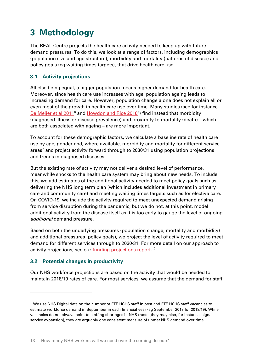## <span id="page-12-0"></span>**3 Methodology**

The REAL Centre projects the health care activity needed to keep up with future demand pressures. To do this, we look at a range of factors, including demographics (population size and age structure), morbidity and mortality (patterns of disease) and policy goals (eg waiting times targets), that drive health care use.

### <span id="page-12-1"></span>**3.1 Activity projections**

All else being equal, a bigger population means higher demand for health care. Moreover, since health care use increases with age, population ageing leads to increasing demand for care. However, population change alone does not explain all or even most of the growth in health care use over time. Many studies (see for instance <u>[De Meijer et al 2011](https://pubmed.ncbi.nlm.nih.gov/21295364/)</u><sup>[8](#page-22-7)</sup> and <u>Howdon and Rice 2018</u><sup>[9](#page-22-8)</sup>) find instead that morbidity (diagnosed illness or disease prevalence) and proximity to mortality (death) – which are both associated with ageing – are more important.

To account for these demographic factors, we calculate a baseline rate of health care use by age, gender and, where available, morbidity and mortality for different service areas[\\*](#page-12-3) and project activity forward through to 2030/31 using population projections and trends in diagnosed diseases.

But the existing rate of activity may not deliver a desired level of performance, meanwhile shocks to the health care system may bring about new needs. To include this, we add estimates of the additional activity needed to meet policy goals such as delivering the NHS long term plan (which includes additional investment in primary care and community care) and meeting waiting times targets such as for elective care. On COVID-19, we include the activity required to meet unexpected demand arising from service disruption during the pandemic, but we do not, at this point, model additional activity from the disease itself as it is too early to gauge the level of ongoing additional demand pressure.

Based on both the underlying pressures (population change, mortality and morbidity) and additional pressures (policy goals), we project the level of activity required to meet demand for different services through to 2030/31. For more detail on our approach to activity projections, see our <u>funding projections report</u>. <sup>[10](#page-22-9)</sup>

### <span id="page-12-2"></span>**3.2 Potential changes in productivity**

Our NHS workforce projections are based on the activity that would be needed to maintain 2018/19 rates of care. For most services, we assume that the demand for staff

<span id="page-12-3"></span><sup>\*</sup> We use NHS Digital data on the number of FTE HCHS staff in post and FTE HCHS staff vacancies to estimate workforce demand in September in each financial year (eg September 2018 for 2018/19). While vacancies do not always point to staffing shortages in NHS trusts (they may also, for instance, signal service expansion), they are arguably one consistent measure of unmet NHS demand over time.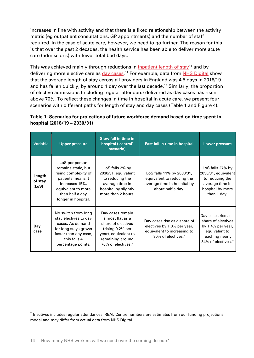increases in line with activity and that there is a fixed relationship between the activity metric (eg outpatient consultations, GP appointments) and the number of staff required. In the case of acute care, however, we need to go further. The reason for this is that over the past 2 decades, the health service has been able to deliver more acute care (admissions) with fewer total bed days.

This was achieved mainly through reductions in [inpatient length of stay](https://www.nuffieldtrust.org.uk/files/2017-01/improving-length-of-stay-hospitals-web-final.pdf)<sup>[11](#page-22-10)</sup> and by delivering more elective care as <u>day cases</u>.[12](#page-22-11) For example, data from <u>NHS Digital</u> show that the average length of stay across all providers in England was 4.5 days in 2018/19 and has fallen quickly, by around 1 day over the last decade.<sup>[13](#page-22-12)</sup> Similarly, the proportion of elective admissions (including regular attenders) delivered as day cases has risen above 70%. To reflect these changes in time in hospital in acute care, we present four scenarios with different paths for length of stay and day cases (Table 1 and Figure 4).

#### **Table 1: Scenarios for projections of future workforce demand based on time spent in hospital (2018/19 – 2030/31)**

| Variable                   | <b>Upper pressure</b>                                                                                                                                                | Slow fall in time in<br>hospital ('central'<br>scenario)                                                                                         | Fast fall in time in hospital                                                                                    | <b>Lower pressure</b>                                                                                                    |
|----------------------------|----------------------------------------------------------------------------------------------------------------------------------------------------------------------|--------------------------------------------------------------------------------------------------------------------------------------------------|------------------------------------------------------------------------------------------------------------------|--------------------------------------------------------------------------------------------------------------------------|
| Length<br>of stay<br>(LoS) | LoS per person<br>remains static, but<br>rising complexity of<br>patients means it<br>increases 15%,<br>equivalent to more<br>than half a day<br>longer in hospital. | LoS falls 2% by<br>2030/31, equivalent<br>to reducing the<br>average time in<br>hospital by slightly<br>more than 2 hours.                       | LoS falls 11% by 2030/31,<br>equivalent to reducing the<br>average time in hospital by<br>about half a day.      | LoS falls 27% by<br>2030/31, equivalent<br>to reducing the<br>average time in<br>hospital by more<br>than 1 day.         |
| Day<br>case                | No switch from long<br>stay electives to day<br>cases. As demand<br>for long stays grows<br>faster than day case,<br>this falls 4<br>percentage points.              | Day cases remain<br>almost flat as a<br>share of electives<br>(rising 0.2% per<br>year), equivalent to<br>remaining around<br>70% of electives.* | Day cases rise as a share of<br>electives by 1.0% per year,<br>equivalent to increasing to<br>80% of electives.* | Day cases rise as a<br>share of electives<br>by 1.4% per year,<br>equivalent to<br>reaching nearly<br>84% of electives.* |

<span id="page-13-0"></span><sup>\*</sup> Electives includes regular attendances; REAL Centre numbers are estimates from our funding projections model and may differ from actual data from NHS Digital.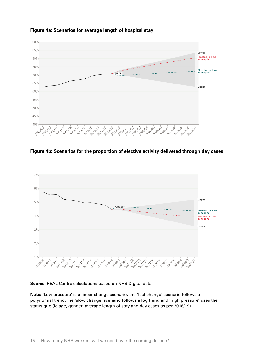

#### **Figure 4a: Scenarios for average length of hospital stay**

**Figure 4b: Scenarios for the proportion of elective activity delivered through day cases**



**Source:** REAL Centre calculations based on NHS Digital data.

**Note: '**Low pressure' is a linear change scenario, the 'fast change' scenario follows a polynomial trend, the 'slow change' scenario follows a log trend and 'high pressure' uses the status quo (ie age, gender, average length of stay and day cases as per 2018/19)**.**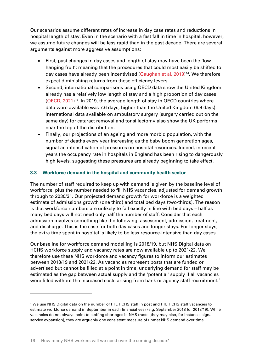Our scenarios assume different rates of increase in day case rates and reductions in hospital length of stay. Even in the scenario with a fast fall in time in hospital, however, we assume future changes will be less rapid than in the past decade. There are several arguments against more aggressive assumptions:

- First, past changes in day cases and length of stay may have been the 'low hanging fruit'; meaning that the procedures that could most easily be shifted to day cases have already been incentivised [\(Gaughan et al, 2019\)](https://www.sciencedirect.com/science/article/pii/S0167629618306696)<sup>[14](#page-23-0)</sup>. We therefore expect diminishing returns from these efficiency levers.
- Second, international comparisons using OECD data show the United Kingdom already has a relatively low length of stay and a high proportion of day cases [\(OECD, 2021\)](https://www.oecd-ilibrary.org/social-issues-migration-health/health-at-a-glance-2021_ae3016b9-en)<sup>[15](#page-23-1)</sup>. In 2019, the average length of stay in OECD countries where data were available was 7.6 days, higher than the United Kingdom (6.9 days). International data available on ambulatory surgery (surgery carried out on the same day) for cataract removal and tonsillectomy also show the UK performs near the top of the distribution.
- Finally, our projections of an ageing and more morbid population, with the number of deaths every year increasing as the baby boom generation ages, signal an intensification of pressures on hospital resources. Indeed, in recent years the occupancy rate in hospitals in England has been rising to dangerously high levels, suggesting these pressures are already beginning to take effect.

#### <span id="page-15-0"></span>**3.3 Workforce demand in the hospital and community health sector**

The number of staff required to keep up with demand is given by the baseline level of workforce, plus the number needed to fill NHS vacancies, adjusted for demand growth through to 2030/31. Our projected demand growth for workforce is a weighted estimate of admissions growth (one third) and total bed days (two-thirds). The reason is that workforce numbers are unlikely to fall exactly in line with bed days – half as many bed days will not need only half the number of staff. Consider that each admission involves something like the following: assessment, admission, treatment, and discharge. This is the case for both day cases and longer stays. For longer stays, the extra time spent in hospital is likely to be less resource-intensive than day cases.

Our baseline for workforce demand modelling is 2018/19, but NHS Digital data on HCHS workforce supply and vacancy rates are now available up to 2021/22. We therefore use these NHS workforce and vacancy figures to inform our estimates between 2018/19 and 2021/22. As vacancies represent posts that are funded or advertised but cannot be filled at a point in time, underlying demand for staff may be estimated as the gap between actual supply and the 'potential' supply if all vacancies were filled without the increased costs arising from bank or agency staff recruitment.<sup>[\\*](#page-15-1)</sup>

<span id="page-15-1"></span><sup>\*</sup> We use NHS Digital data on the number of FTE HCHS staff in post and FTE HCHS staff vacancies to estimate workforce demand in September in each financial year (e.g. September 2018 for 2018/19). While vacancies do not always point to staffing shortages in NHS trusts (they may also, for instance, signal service expansion), they are arguably one consistent measure of unmet NHS demand over time.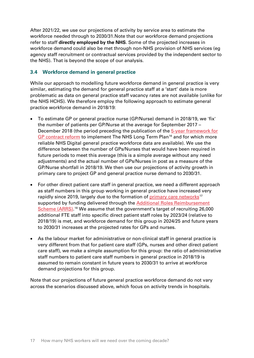After 2021/22, we use our projections of activity by service area to estimate the workforce needed through to 2030/31.Note that our workforce demand projections refer to staff **directly employed by the NHS**. Some of the projected increases in workforce demand could also be met through non-NHS provision of NHS services (eg agency staff recruitment or contractual services provided by the independent sector to the NHS). That is beyond the scope of our analysis.

### <span id="page-16-0"></span>**3.4 Workforce demand in general practice**

While our approach to modelling future workforce demand in general practice is very similar, estimating the demand for general practice staff at a 'start' date is more problematic as data on general practice staff vacancy rates are not available (unlike for the NHS HCHS). We therefore employ the following approach to estimate general practice workforce demand in 2018/19:

- To estimate GP or general practice nurse (GP/Nurse) demand in 2018/19, we 'fix' the number of patients per GP/Nurse at the average for September 2017 – December 2018 (the period preceding the publication of the  $5$ -year framework for [GP contract reform](https://www.england.nhs.uk/publication/gp-contract-five-year-framework/) to implement The NHS Long Term Plan<sup>[16](#page-23-2)</sup> and for which more reliable NHS Digital general practice workforce data are available). We use the difference between the number of GPs/Nurses that would have been required in future periods to meet this average (this is a simple average without any need adjustments) and the actual number of GPs/Nurses in post as a measure of the GP/Nurse shortfall in 2018/19. We then use our projections of activity growth in primary care to project GP and general practice nurse demand to 2030/31.
- For other direct patient care staff in general practice, we need a different approach as staff numbers in this group working in general practice have increased very rapidly since 2019, largely due to the formation of [primary care networks](https://www.england.nhs.uk/primary-care/primary-care-networks/)<sup>[17](#page-23-3)</sup> supported by funding delivered through the [Additional Roles Reimbursement](https://www.england.nhs.uk/gp/expanding-our-workforce/)  [Scheme \(ARRS\).](https://www.england.nhs.uk/gp/expanding-our-workforce/)<sup>[18](#page-23-4)</sup> We assume that the government's target of recruiting 26,000 additional FTE staff into specific direct patient staff roles by 2023/24 (relative to 2018/19) is met, and workforce demand for this group in 2024/25 and future years to 2030/31 increases at the projected rates for GPs and nurses.
- As the labour market for administrative or non-clinical staff in general practice is very different from that for patient care staff (GPs, nurses and other direct patient care staff), we make a simple assumption for this group: the ratio of administrative staff numbers to patient care staff numbers in general practice in 2018/19 is assumed to remain constant in future years to 2030/31 to arrive at workforce demand projections for this group.

Note that our projections of future general practice workforce demand do not vary across the scenarios discussed above, which focus on activity trends in hospitals.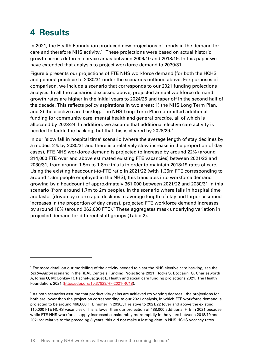## <span id="page-17-0"></span>**4 Results**

In 2021, the Health Foundation produced new projections of trends in the demand for care and therefore NHS activity.[19](#page-23-5) These projections were based on actual historic growth across different service areas between 2009/10 and 2018/19. In this paper we have extended that analysis to project workforce demand to 2030/31.

Figure 5 presents our projections of FTE NHS workforce demand (for both the HCHS and general practice) to 2030/31 under the scenarios outlined above. For purposes of comparison, we include a scenario that corresponds to our 2021 funding projections analysis. In all the scenarios discussed above, projected annual workforce demand growth rates are higher in the initial years to 2024/25 and taper off in the second half of the decade. This reflects policy aspirations in two areas: 1) the NHS Long Term Plan, and 2) the elective care backlog. The NHS Long Term Plan committed additional funding for community care, mental health and general practice, all of which is allocated by 2023/24. In addition, we assume that additional elective care activity is needed to tackle the backlog, but that this is cleared by 2028/29. $^\ast$ 

In our 'slow fall in hospital time' scenario (where the average length of stay declines by a modest 2% by 2030/31 and there is a relatively slow increase in the proportion of day cases), FTE NHS workforce demand is projected to increase by around 22% (around 314,000 FTE over and above estimated existing FTE vacancies) between 2021/22 and 2030/31, from around 1.5m to 1.8m (this is in order to maintain 2018/19 rates of care). Using the existing headcount-to-FTE ratio in 2021/22 (with 1.35m FTE corresponding to around 1.6m people employed in the NHS), this translates into workforce demand growing by a headcount of approximately 361,000 between 2021/22 and 2030/31 in this scenario (from around 1.7m to 2m people). In the scenario where falls in hospital time are faster (driven by more rapid declines in average length of stay and larger assumed increases in the proportion of day cases), projected FTE workforce demand increases by around 18% (around 262,000 FTE).[†](#page-17-2) These aggregates mask underlying variation in projected demand for different staff groups (Table 2).

<span id="page-17-1"></span><sup>\*</sup> For more detail on our modelling of the activity needed to clear the NHS elective care backlog, see the Stabilisation scenario in the REAL Centre's Funding Projections 2021. Rocks S, Boccarini G, Charlesworth A, Idriss O, McConkey R, Rachet-Jacquet L. Health and social care funding projections 2021. The Health Foundation; 2021 [\(https://doi.org/10.37829/HF-2021-RC18\)](https://doi.org/10.37829/HF-2021-RC18).

<span id="page-17-2"></span><sup>†</sup> As both scenarios assume that productivity gains are achieved (to varying degrees), the projections for both are lower than the projection corresponding to our 2021 analysis, in which FTE workforce demand is projected to be around 466,000 FTE higher in 2030/31 relative to 2021/22 (over and above the existing 110,000 FTE HCHS vacancies). This is lower than our projection of 488,000 additional FTE in 2021 because while FTE NHS workforce supply increased considerably more rapidly in the years between 2018/19 and 2021/22 relative to the preceding 8 years, this did not make a lasting dent in NHS HCHS vacancy rates.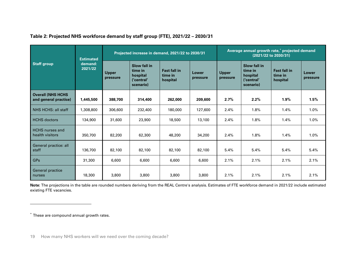|                                                   | <b>Estimated</b><br>demand:<br>2021/22 | Projected increase in demand, 2021/22 to 2030/31 |                                                                       |                                            |                   | Average annual growth rate,* projected demand<br>(2021/22 to 2030/31) |                                                                       |                                            |                   |
|---------------------------------------------------|----------------------------------------|--------------------------------------------------|-----------------------------------------------------------------------|--------------------------------------------|-------------------|-----------------------------------------------------------------------|-----------------------------------------------------------------------|--------------------------------------------|-------------------|
| <b>Staff group</b>                                |                                        | <b>Upper</b><br>pressure                         | <b>Slow fall in</b><br>time in<br>hospital<br>('central'<br>scenario) | <b>Fast fall in</b><br>time in<br>hospital | Lower<br>pressure | <b>Upper</b><br>pressure                                              | <b>Slow fall in</b><br>time in<br>hospital<br>('central'<br>scenario) | <b>Fast fall in</b><br>time in<br>hospital | Lower<br>pressure |
| <b>Overall (NHS HCHS</b><br>and general practice) | 1,445,500                              | 388,700                                          | 314,400                                                               | 262,000                                    | 209,600           | 2.7%                                                                  | 2.2%                                                                  | 1.9%                                       | 1.5%              |
| NHS HCHS: all staff                               | 1,308,800                              | 306,600                                          | 232,400                                                               | 180,000                                    | 127,600           | 2.4%                                                                  | 1.8%                                                                  | 1.4%                                       | 1.0%              |
| <b>HCHS</b> doctors                               | 134,900                                | 31,600                                           | 23,900                                                                | 18,500                                     | 13,100            | 2.4%                                                                  | 1.8%                                                                  | 1.4%                                       | 1.0%              |
| <b>HCHS</b> nurses and<br>health visitors         | 350,700                                | 82,200                                           | 62,300                                                                | 48,200                                     | 34,200            | 2.4%                                                                  | 1.8%                                                                  | 1.4%                                       | 1.0%              |
| General practice: all<br>staff                    | 136,700                                | 82,100                                           | 82,100                                                                | 82,100                                     | 82,100            | 5.4%                                                                  | 5.4%                                                                  | 5.4%                                       | 5.4%              |
| <b>GPs</b>                                        | 31,300                                 | 6,600                                            | 6,600                                                                 | 6,600                                      | 6,600             | 2.1%                                                                  | 2.1%                                                                  | 2.1%                                       | 2.1%              |
| <b>General practice</b><br>nurses                 | 18,300                                 | 3,800                                            | 3,800                                                                 | 3,800                                      | 3,800             | 2.1%                                                                  | 2.1%                                                                  | 2.1%                                       | 2.1%              |

#### <span id="page-18-0"></span>**Table 2: Projected NHS workforce demand by staff group (FTE), 2021/22 – 2030/31**

**Note:** The projections in the table are rounded numbers deriving from the REAL Centre's analysis. Estimates of FTE workforce demand in 2021/22 include estimated existing FTE vacancies.

<sup>\*</sup> These are compound annual growth rates.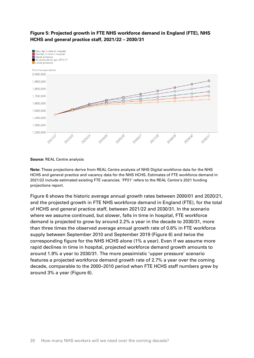

#### **Figure 5: Projected growth in FTE NHS workforce demand in England (FTE), NHS HCHS and general practice staff, 2021/22 – 2030/31**

**Source:** REAL Centre analysis

**Note:** These projections derive from REAL Centre analysis of NHS Digital workforce data for the NHS HCHS and general practice and vacancy data for the NHS HCHS. Estimates of FTE workforce demand in 2021/22 include estimated existing FTE vacancies. 'FP21' refers to the REAL Centre's 2021 funding projections report.

Figure 6 shows the historic average annual growth rates between 2000/01 and 2020/21, and the projected growth in FTE NHS workforce demand in England (FTE), for the total of HCHS and general practice staff, between 2021/22 and 2030/31. In the scenario where we assume continued, but slower, falls in time in hospital, FTE workforce demand is projected to grow by around 2.2% a year in the decade to 2030/31, more than three times the observed average annual growth rate of 0.6% in FTE workforce supply between September 2010 and September 2019 (Figure 6) and twice the corresponding figure for the NHS HCHS alone (1% a year). Even if we assume more rapid declines in time in hospital, projected workforce demand growth amounts to around 1.9% a year to 2030/31. The more pessimistic 'upper pressure' scenario features a projected workforce demand growth rate of 2.7% a year over the coming decade, comparable to the 2000–2010 period when FTE HCHS staff numbers grew by around 3% a year (Figure 6).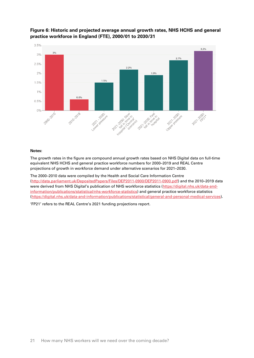

#### **Figure 6: Historic and projected average annual growth rates, NHS HCHS and general practice workforce in England (FTE), 2000/01 to 2030/31**

#### **Notes:**

The growth rates in the figure are compound annual growth rates based on NHS Digital data on full-time equivalent NHS HCHS and general practice workforce numbers for 2000–2019 and REAL Centre projections of growth in workforce demand under alternative scenarios for 2021–2030.

The 2000–2010 data were compiled by the Health and Social Care Information Centre [\(http://data.parliament.uk/DepositedPapers/Files/DEP2011-0900/DEP2011-0900.pdf\)](http://data.parliament.uk/DepositedPapers/Files/DEP2011-0900/DEP2011-0900.pdf) and the 2010–2019 data were derived from NHS Digital's publication of NHS workforce statistics [\(https://digital.nhs.uk/data-and](https://digital.nhs.uk/data-and-information/publications/statistical/nhs-workforce-statistics)[information/publications/statistical/nhs-workforce-statistics\)](https://digital.nhs.uk/data-and-information/publications/statistical/nhs-workforce-statistics) and general practice workforce statistics [\(https://digital.nhs.uk/data-and-information/publications/statistical/general-and-personal-medical-services\)](https://digital.nhs.uk/data-and-information/publications/statistical/general-and-personal-medical-services).

'FP21' refers to the REAL Centre's 2021 funding projections report.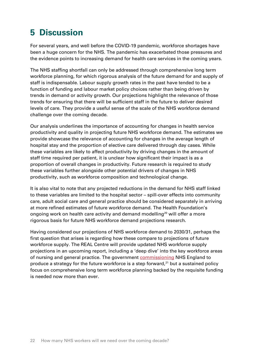### <span id="page-21-0"></span>**5 Discussion**

For several years, and well before the COVID-19 pandemic, workforce shortages have been a huge concern for the NHS. The pandemic has exacerbated those pressures and the evidence points to increasing demand for health care services in the coming years.

The NHS staffing shortfall can only be addressed through comprehensive long term workforce planning, for which rigorous analysis of the future demand for and supply of staff is indispensable. Labour supply growth rates in the past have tended to be a function of funding and labour market policy choices rather than being driven by trends in demand or activity growth. Our projections highlight the relevance of those trends for ensuring that there will be sufficient staff in the future to deliver desired levels of care. They provide a useful sense of the scale of the NHS workforce demand challenge over the coming decade.

Our analysis underlines the importance of accounting for changes in health service productivity and quality in projecting future NHS workforce demand. The estimates we provide showcase the relevance of accounting for changes in the average length of hospital stay and the proportion of elective care delivered through day cases. While these variables are likely to affect productivity by driving changes in the amount of staff time required per patient, it is unclear how significant their impact is as a proportion of overall changes in productivity. Future research is required to study these variables further alongside other potential drivers of changes in NHS productivity, such as workforce composition and technological change.

It is also vital to note that any projected reductions in the demand for NHS staff linked to these variables are limited to the hospital sector – spill-over effects into community care, adult social care and general practice should be considered separately in arriving at more refined estimates of future workforce demand. The Health Foundation's ongoing work on health care activity and demand modelling<sup>[20](#page-23-6)</sup> will offer a more rigorous basis for future NHS workforce demand projections research.

Having considered our projections of NHS workforce demand to 2030/31, perhaps the first question that arises is regarding how these compare to projections of future workforce supply. The REAL Centre will provide updated NHS workforce supply projections in an upcoming report, including a 'deep dive' into the key workforce areas of nursing and general practice. The government [commissioning](https://www.gov.uk/government/publications/dhsc-evidence-for-the-nhsprb-pay-round-2022-to-2023) NHS England to produce a strategy for the future workforce is a step forward,<sup>[21](#page-23-7)</sup> but a sustained policy focus on comprehensive long term workforce planning backed by the requisite funding is needed now more than ever.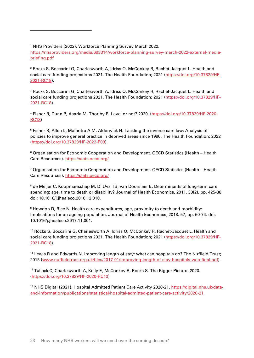<span id="page-22-0"></span><sup>1</sup> NHS Providers (2022). Workforce Planning Survey March 2022. [https://nhsproviders.org/media/693314/workforce-planning-survey-march-2022-external-media](https://nhsproviders.org/media/693314/workforce-planning-survey-march-2022-external-media-briefing.pdf)[briefing.pdf](https://nhsproviders.org/media/693314/workforce-planning-survey-march-2022-external-media-briefing.pdf)

<span id="page-22-1"></span><sup>2</sup> Rocks S, Boccarini G, Charlesworth A, Idriss O, McConkey R, Rachet-Jacquet L. Health and social care funding projections 2021. The Health Foundation; 2021 [\(https://doi.org/10.37829/HF-](https://doi.org/10.37829/HF-2021-RC18)[2021-RC18\)](https://doi.org/10.37829/HF-2021-RC18).

<span id="page-22-2"></span><sup>3</sup> Rocks S, Boccarini G, Charlesworth A, Idriss O, McConkey R, Rachet-Jacquet L. Health and social care funding projections 2021. The Health Foundation; 2021 [\(https://doi.org/10.37829/HF-](https://doi.org/10.37829/HF-2021-RC18)[2021-RC18\)](https://doi.org/10.37829/HF-2021-RC18).

<span id="page-22-3"></span><sup>4</sup> Fisher R, Dunn P, Asaria M, Thorlby R. Level or not? 2020. [\(https://doi.org/10.37829/HF-2020-](https://doi.org/10.37829/HF-2020-RC13) [RC13\)](https://doi.org/10.37829/HF-2020-RC13)

<span id="page-22-4"></span><sup>5</sup> Fisher R, Allen L, Malhotra A M, Alderwick H. Tackling the inverse care law: Analysis of policies to improve general practice in deprived areas since 1990. The Health Foundation; 2022 [\(https://doi.org/10.37829/HF-2022-P09\)](https://doi.org/10.37829/HF-2022-P09).

<span id="page-22-5"></span><sup>6</sup> Organisation for Economic Cooperation and Development. OECD Statistics (Health – Health Care Resources).<https://stats.oecd.org/>

<span id="page-22-6"></span><sup>7</sup> Organisation for Economic Cooperation and Development. OECD Statistics (Health – Health Care Resources).<https://stats.oecd.org/>

<span id="page-22-7"></span><sup>8</sup> de Meijer C, Koopmanschap M, D' Uva TB, van Doorslaer E. Determinants of long-term care spending: age, time to death or disability? Journal of Health Economics, 2011. 30(2), pp. 425-38. doi: 10.1016/j.jhealeco.2010.12.010.

<span id="page-22-8"></span><sup>9</sup> Howdon D, Rice N. Health care expenditures, age, proximity to death and morbidity: Implications for an ageing population. Journal of Health Economics, 2018. 57, pp. 60-74. doi: 10.1016/j.jhealeco.2017.11.001.

<span id="page-22-9"></span><sup>10</sup> Rocks S, Boccarini G, Charlesworth A, Idriss O, McConkey R, Rachet-Jacquet L. Health and social care funding projections 2021. The Health Foundation; 2021 [\(https://doi.org/10.37829/HF-](https://doi.org/10.37829/HF-2021-RC18)[2021-RC18\)](https://doi.org/10.37829/HF-2021-RC18).

<span id="page-22-10"></span><sup>11</sup> Lewis R and Edwards N. Improving length of stay: what can hospitals do? The Nuffield Trust; 2015 [\(www.nuffieldtrust.org.uk/files/2017-01/improving-length-of-stay-hospitals-web-final.pdf\)](http://www.nuffieldtrust.org.uk/files/2017-01/improving-length-of-stay-hospitals-web-final.pdf).

<span id="page-22-11"></span><sup>12</sup> Tallack C, Charlesworth A, Kelly E, McConkey R, Rocks S. The Bigger Picture. 2020. [\(https://doi.org/10.37829/HF-2020-RC10\)](https://doi.org/10.37829/HF-2020-RC10)

<span id="page-22-12"></span><sup>13</sup> NHS Digital (2021). Hospital Admitted Patient Care Activity 2020-21. [https://digital.nhs.uk/data](https://digital.nhs.uk/data-and-information/publications/statistical/hospital-admitted-patient-care-activity/2020-21)[and-information/publications/statistical/hospital-admitted-patient-care-activity/2020-21](https://digital.nhs.uk/data-and-information/publications/statistical/hospital-admitted-patient-care-activity/2020-21)